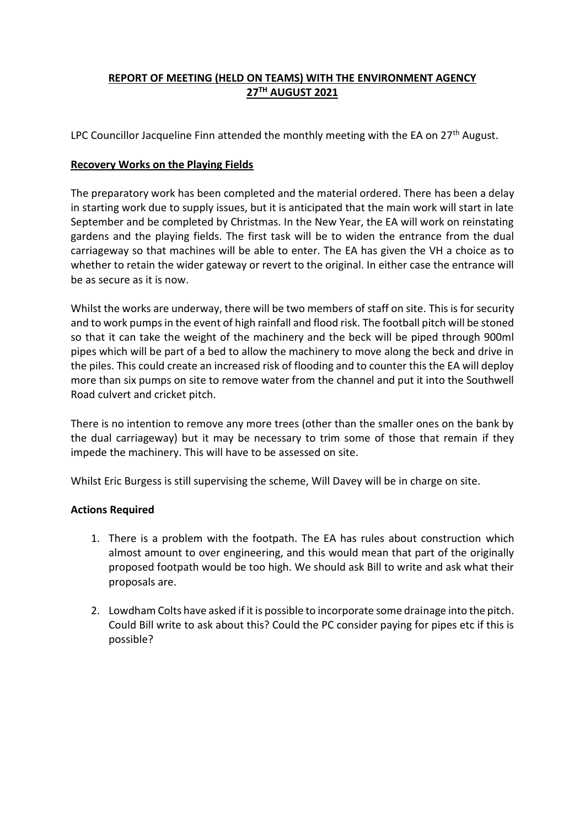## **REPORT OF MEETING (HELD ON TEAMS) WITH THE ENVIRONMENT AGENCY 27TH AUGUST 2021**

LPC Councillor Jacqueline Finn attended the monthly meeting with the EA on  $27<sup>th</sup>$  August.

## **Recovery Works on the Playing Fields**

The preparatory work has been completed and the material ordered. There has been a delay in starting work due to supply issues, but it is anticipated that the main work will start in late September and be completed by Christmas. In the New Year, the EA will work on reinstating gardens and the playing fields. The first task will be to widen the entrance from the dual carriageway so that machines will be able to enter. The EA has given the VH a choice as to whether to retain the wider gateway or revert to the original. In either case the entrance will be as secure as it is now.

Whilst the works are underway, there will be two members of staff on site. This is for security and to work pumps in the event of high rainfall and flood risk. The football pitch will be stoned so that it can take the weight of the machinery and the beck will be piped through 900ml pipes which will be part of a bed to allow the machinery to move along the beck and drive in the piles. This could create an increased risk of flooding and to counter this the EA will deploy more than six pumps on site to remove water from the channel and put it into the Southwell Road culvert and cricket pitch.

There is no intention to remove any more trees (other than the smaller ones on the bank by the dual carriageway) but it may be necessary to trim some of those that remain if they impede the machinery. This will have to be assessed on site.

Whilst Eric Burgess is still supervising the scheme, Will Davey will be in charge on site.

## **Actions Required**

- 1. There is a problem with the footpath. The EA has rules about construction which almost amount to over engineering, and this would mean that part of the originally proposed footpath would be too high. We should ask Bill to write and ask what their proposals are.
- 2. Lowdham Colts have asked if it is possible to incorporate some drainage into the pitch. Could Bill write to ask about this? Could the PC consider paying for pipes etc if this is possible?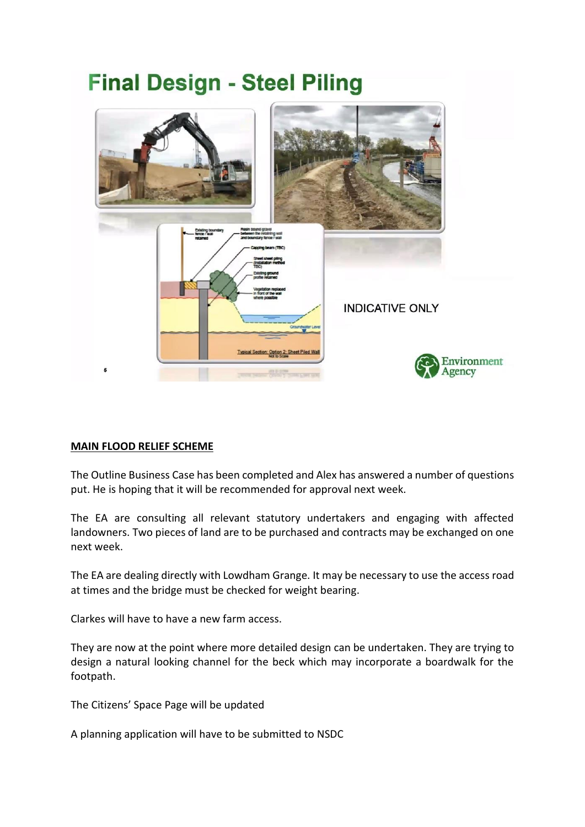

## **MAIN FLOOD RELIEF SCHEME**

The Outline Business Case has been completed and Alex has answered a number of questions put. He is hoping that it will be recommended for approval next week.

The EA are consulting all relevant statutory undertakers and engaging with affected landowners. Two pieces of land are to be purchased and contracts may be exchanged on one next week.

The EA are dealing directly with Lowdham Grange. It may be necessary to use the access road at times and the bridge must be checked for weight bearing.

Clarkes will have to have a new farm access.

They are now at the point where more detailed design can be undertaken. They are trying to design a natural looking channel for the beck which may incorporate a boardwalk for the footpath.

The Citizens' Space Page will be updated

A planning application will have to be submitted to NSDC